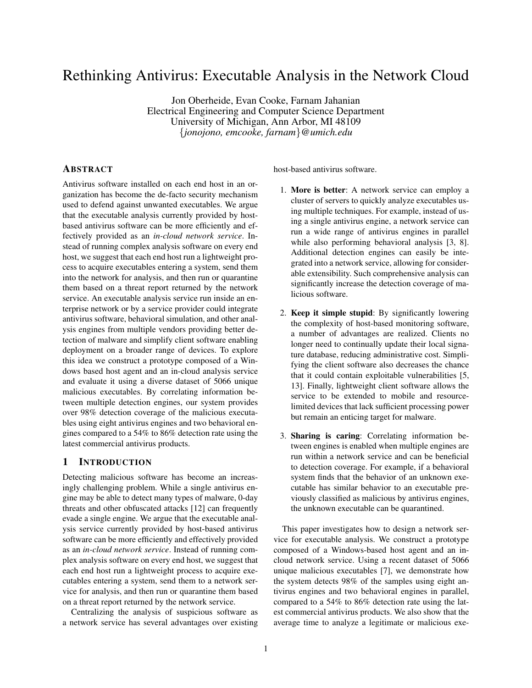# Rethinking Antivirus: Executable Analysis in the Network Cloud

Jon Oberheide, Evan Cooke, Farnam Jahanian Electrical Engineering and Computer Science Department University of Michigan, Ann Arbor, MI 48109 {*jonojono, emcooke, farnam*}*@umich.edu*

# ABSTRACT

Antivirus software installed on each end host in an organization has become the de-facto security mechanism used to defend against unwanted executables. We argue that the executable analysis currently provided by hostbased antivirus software can be more efficiently and effectively provided as an *in-cloud network service*. Instead of running complex analysis software on every end host, we suggest that each end host run a lightweight process to acquire executables entering a system, send them into the network for analysis, and then run or quarantine them based on a threat report returned by the network service. An executable analysis service run inside an enterprise network or by a service provider could integrate antivirus software, behavioral simulation, and other analysis engines from multiple vendors providing better detection of malware and simplify client software enabling deployment on a broader range of devices. To explore this idea we construct a prototype composed of a Windows based host agent and an in-cloud analysis service and evaluate it using a diverse dataset of 5066 unique malicious executables. By correlating information between multiple detection engines, our system provides over 98% detection coverage of the malicious executables using eight antivirus engines and two behavioral engines compared to a 54% to 86% detection rate using the latest commercial antivirus products.

## 1 INTRODUCTION

Detecting malicious software has become an increasingly challenging problem. While a single antivirus engine may be able to detect many types of malware, 0-day threats and other obfuscated attacks [12] can frequently evade a single engine. We argue that the executable analysis service currently provided by host-based antivirus software can be more efficiently and effectively provided as an *in-cloud network service*. Instead of running complex analysis software on every end host, we suggest that each end host run a lightweight process to acquire executables entering a system, send them to a network service for analysis, and then run or quarantine them based on a threat report returned by the network service.

Centralizing the analysis of suspicious software as a network service has several advantages over existing host-based antivirus software.

- 1. More is better: A network service can employ a cluster of servers to quickly analyze executables using multiple techniques. For example, instead of using a single antivirus engine, a network service can run a wide range of antivirus engines in parallel while also performing behavioral analysis [3, 8]. Additional detection engines can easily be integrated into a network service, allowing for considerable extensibility. Such comprehensive analysis can significantly increase the detection coverage of malicious software.
- 2. Keep it simple stupid: By significantly lowering the complexity of host-based monitoring software, a number of advantages are realized. Clients no longer need to continually update their local signature database, reducing administrative cost. Simplifying the client software also decreases the chance that it could contain exploitable vulnerabilities [5, 13]. Finally, lightweight client software allows the service to be extended to mobile and resourcelimited devices that lack sufficient processing power but remain an enticing target for malware.
- 3. Sharing is caring: Correlating information between engines is enabled when multiple engines are run within a network service and can be beneficial to detection coverage. For example, if a behavioral system finds that the behavior of an unknown executable has similar behavior to an executable previously classified as malicious by antivirus engines, the unknown executable can be quarantined.

This paper investigates how to design a network service for executable analysis. We construct a prototype composed of a Windows-based host agent and an incloud network service. Using a recent dataset of 5066 unique malicious executables [7], we demonstrate how the system detects 98% of the samples using eight antivirus engines and two behavioral engines in parallel, compared to a 54% to 86% detection rate using the latest commercial antivirus products. We also show that the average time to analyze a legitimate or malicious exe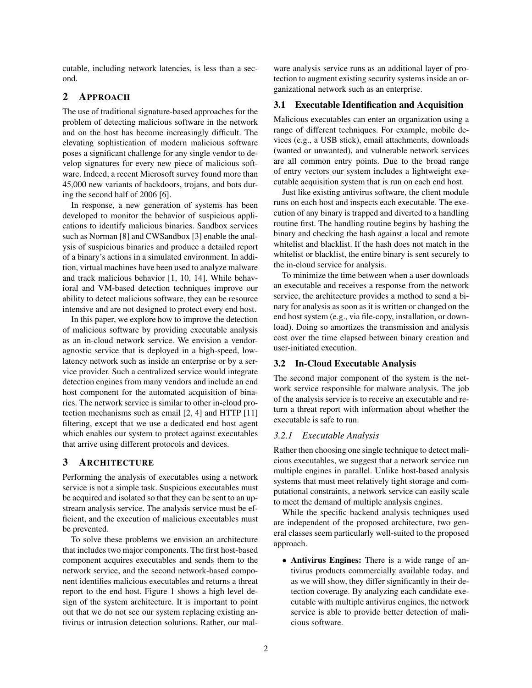cutable, including network latencies, is less than a second.

# 2 APPROACH

The use of traditional signature-based approaches for the problem of detecting malicious software in the network and on the host has become increasingly difficult. The elevating sophistication of modern malicious software poses a significant challenge for any single vendor to develop signatures for every new piece of malicious software. Indeed, a recent Microsoft survey found more than 45,000 new variants of backdoors, trojans, and bots during the second half of 2006 [6].

In response, a new generation of systems has been developed to monitor the behavior of suspicious applications to identify malicious binaries. Sandbox services such as Norman [8] and CWSandbox [3] enable the analysis of suspicious binaries and produce a detailed report of a binary's actions in a simulated environment. In addition, virtual machines have been used to analyze malware and track malicious behavior [1, 10, 14]. While behavioral and VM-based detection techniques improve our ability to detect malicious software, they can be resource intensive and are not designed to protect every end host.

In this paper, we explore how to improve the detection of malicious software by providing executable analysis as an in-cloud network service. We envision a vendoragnostic service that is deployed in a high-speed, lowlatency network such as inside an enterprise or by a service provider. Such a centralized service would integrate detection engines from many vendors and include an end host component for the automated acquisition of binaries. The network service is similar to other in-cloud protection mechanisms such as email [2, 4] and HTTP [11] filtering, except that we use a dedicated end host agent which enables our system to protect against executables that arrive using different protocols and devices.

# 3 ARCHITECTURE

Performing the analysis of executables using a network service is not a simple task. Suspicious executables must be acquired and isolated so that they can be sent to an upstream analysis service. The analysis service must be efficient, and the execution of malicious executables must be prevented.

To solve these problems we envision an architecture that includes two major components. The first host-based component acquires executables and sends them to the network service, and the second network-based component identifies malicious executables and returns a threat report to the end host. Figure 1 shows a high level design of the system architecture. It is important to point out that we do not see our system replacing existing antivirus or intrusion detection solutions. Rather, our malware analysis service runs as an additional layer of protection to augment existing security systems inside an organizational network such as an enterprise.

# 3.1 Executable Identification and Acquisition

Malicious executables can enter an organization using a range of different techniques. For example, mobile devices (e.g., a USB stick), email attachments, downloads (wanted or unwanted), and vulnerable network services are all common entry points. Due to the broad range of entry vectors our system includes a lightweight executable acquisition system that is run on each end host.

Just like existing antivirus software, the client module runs on each host and inspects each executable. The execution of any binary is trapped and diverted to a handling routine first. The handling routine begins by hashing the binary and checking the hash against a local and remote whitelist and blacklist. If the hash does not match in the whitelist or blacklist, the entire binary is sent securely to the in-cloud service for analysis.

To minimize the time between when a user downloads an executable and receives a response from the network service, the architecture provides a method to send a binary for analysis as soon as it is written or changed on the end host system (e.g., via file-copy, installation, or download). Doing so amortizes the transmission and analysis cost over the time elapsed between binary creation and user-initiated execution.

#### 3.2 In-Cloud Executable Analysis

The second major component of the system is the network service responsible for malware analysis. The job of the analysis service is to receive an executable and return a threat report with information about whether the executable is safe to run.

#### *3.2.1 Executable Analysis*

Rather then choosing one single technique to detect malicious executables, we suggest that a network service run multiple engines in parallel. Unlike host-based analysis systems that must meet relatively tight storage and computational constraints, a network service can easily scale to meet the demand of multiple analysis engines.

While the specific backend analysis techniques used are independent of the proposed architecture, two general classes seem particularly well-suited to the proposed approach.

• Antivirus Engines: There is a wide range of antivirus products commercially available today, and as we will show, they differ significantly in their detection coverage. By analyzing each candidate executable with multiple antivirus engines, the network service is able to provide better detection of malicious software.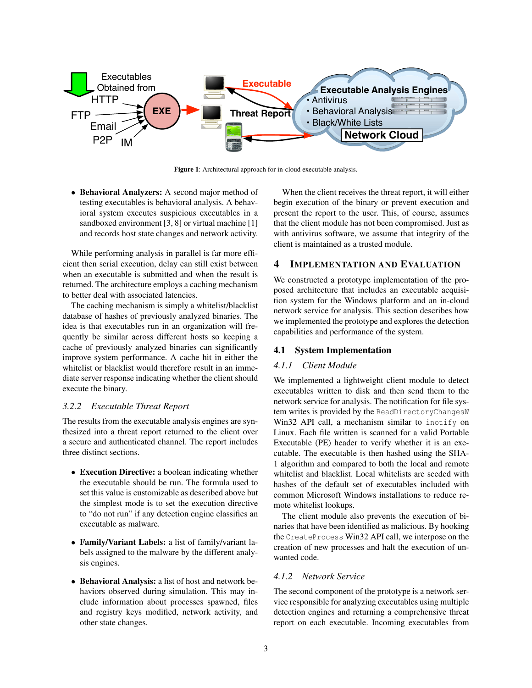

Figure 1: Architectural approach for in-cloud executable analysis.

• Behavioral Analyzers: A second major method of testing executables is behavioral analysis. A behavioral system executes suspicious executables in a sandboxed environment [3, 8] or virtual machine [1] and records host state changes and network activity.

While performing analysis in parallel is far more efficient then serial execution, delay can still exist between when an executable is submitted and when the result is returned. The architecture employs a caching mechanism to better deal with associated latencies.

The caching mechanism is simply a whitelist/blacklist database of hashes of previously analyzed binaries. The idea is that executables run in an organization will frequently be similar across different hosts so keeping a cache of previously analyzed binaries can significantly improve system performance. A cache hit in either the whitelist or blacklist would therefore result in an immediate server response indicating whether the client should execute the binary.

## *3.2.2 Executable Threat Report*

The results from the executable analysis engines are synthesized into a threat report returned to the client over a secure and authenticated channel. The report includes three distinct sections.

- Execution Directive: a boolean indicating whether the executable should be run. The formula used to set this value is customizable as described above but the simplest mode is to set the execution directive to "do not run" if any detection engine classifies an executable as malware.
- Family/Variant Labels: a list of family/variant labels assigned to the malware by the different analysis engines.
- Behavioral Analysis: a list of host and network behaviors observed during simulation. This may include information about processes spawned, files and registry keys modified, network activity, and other state changes.

When the client receives the threat report, it will either begin execution of the binary or prevent execution and present the report to the user. This, of course, assumes that the client module has not been compromised. Just as with antivirus software, we assume that integrity of the client is maintained as a trusted module.

# 4 IMPLEMENTATION AND EVALUATION

We constructed a prototype implementation of the proposed architecture that includes an executable acquisition system for the Windows platform and an in-cloud network service for analysis. This section describes how we implemented the prototype and explores the detection capabilities and performance of the system.

## 4.1 System Implementation

#### *4.1.1 Client Module*

We implemented a lightweight client module to detect executables written to disk and then send them to the network service for analysis. The notification for file system writes is provided by the ReadDirectoryChangesW Win32 API call, a mechanism similar to inotify on Linux. Each file written is scanned for a valid Portable Executable (PE) header to verify whether it is an executable. The executable is then hashed using the SHA-1 algorithm and compared to both the local and remote whitelist and blacklist. Local whitelists are seeded with hashes of the default set of executables included with common Microsoft Windows installations to reduce remote whitelist lookups.

The client module also prevents the execution of binaries that have been identified as malicious. By hooking the CreateProcess Win32 API call, we interpose on the creation of new processes and halt the execution of unwanted code.

#### *4.1.2 Network Service*

The second component of the prototype is a network service responsible for analyzing executables using multiple detection engines and returning a comprehensive threat report on each executable. Incoming executables from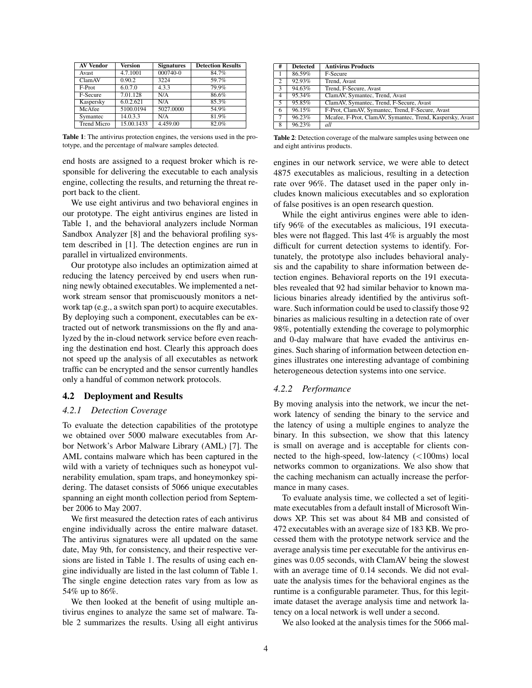| <b>AV Vendor</b>   | <b>Version</b> | <b>Signatures</b> | <b>Detection Results</b> |
|--------------------|----------------|-------------------|--------------------------|
| <b>Avast</b>       | 4.7.1001       | $000740 - 0$      | 84.7%                    |
| ClamAV             | 0.90.2         | 3224              | 59.7%                    |
| F-Prot             | 6.0.7.0        | 4.3.3             | 79.9%                    |
| F-Secure           | 7.01.128       | N/A               | 86.6%                    |
| Kaspersky          | 6.0.2.621      | N/A               | 85.3%                    |
| McAfee             | 5100.0194      | 5027.0000         | 54.9%                    |
| Symantec           | 14.0.3.3       | N/A               | 81.9%                    |
| <b>Trend Micro</b> | 15.00.1433     | 4.459.00          | 82.0%                    |

Table 1: The antivirus protection engines, the versions used in the prototype, and the percentage of malware samples detected.

end hosts are assigned to a request broker which is responsible for delivering the executable to each analysis engine, collecting the results, and returning the threat report back to the client.

We use eight antivirus and two behavioral engines in our prototype. The eight antivirus engines are listed in Table 1, and the behavioral analyzers include Norman Sandbox Analyzer [8] and the behavioral profiling system described in [1]. The detection engines are run in parallel in virtualized environments.

Our prototype also includes an optimization aimed at reducing the latency perceived by end users when running newly obtained executables. We implemented a network stream sensor that promiscuously monitors a network tap (e.g., a switch span port) to acquire executables. By deploying such a component, executables can be extracted out of network transmissions on the fly and analyzed by the in-cloud network service before even reaching the destination end host. Clearly this approach does not speed up the analysis of all executables as network traffic can be encrypted and the sensor currently handles only a handful of common network protocols.

## 4.2 Deployment and Results

## *4.2.1 Detection Coverage*

To evaluate the detection capabilities of the prototype we obtained over 5000 malware executables from Arbor Network's Arbor Malware Library (AML) [7]. The AML contains malware which has been captured in the wild with a variety of techniques such as honeypot vulnerability emulation, spam traps, and honeymonkey spidering. The dataset consists of 5066 unique executables spanning an eight month collection period from September 2006 to May 2007.

We first measured the detection rates of each antivirus engine individually across the entire malware dataset. The antivirus signatures were all updated on the same date, May 9th, for consistency, and their respective versions are listed in Table 1. The results of using each engine individually are listed in the last column of Table 1. The single engine detection rates vary from as low as 54% up to 86%.

We then looked at the benefit of using multiple antivirus engines to analyze the same set of malware. Table 2 summarizes the results. Using all eight antivirus

| #              | <b>Detected</b> | <b>Antivirus Products</b>                                 |  |
|----------------|-----------------|-----------------------------------------------------------|--|
|                | 86.59%          | F-Secure                                                  |  |
| $\overline{2}$ | 92.93%          | Trend, Avast                                              |  |
| 3              | 94.63%          | Trend, F-Secure, Avast                                    |  |
| 4              | 95.34%          | ClamAV, Symantec, Trend, Avast                            |  |
| 5              | 95.85%          | ClamAV, Symantec, Trend, F-Secure, Avast                  |  |
| 6              | 96.15%          | F-Prot, ClamAV, Symantec, Trend, F-Secure, Avast          |  |
| 7              | 96.23%          | Mcafee, F-Prot, ClamAV, Symantec, Trend, Kaspersky, Avast |  |
| 8              | 96.23%          | all                                                       |  |

Table 2: Detection coverage of the malware samples using between one and eight antivirus products.

engines in our network service, we were able to detect 4875 executables as malicious, resulting in a detection rate over 96%. The dataset used in the paper only includes known malicious executables and so exploration of false positives is an open research question.

While the eight antivirus engines were able to identify 96% of the executables as malicious, 191 executables were not flagged. This last 4% is arguably the most difficult for current detection systems to identify. Fortunately, the prototype also includes behavioral analysis and the capability to share information between detection engines. Behavioral reports on the 191 executables revealed that 92 had similar behavior to known malicious binaries already identified by the antivirus software. Such information could be used to classify those 92 binaries as malicious resulting in a detection rate of over 98%, potentially extending the coverage to polymorphic and 0-day malware that have evaded the antivirus engines. Such sharing of information between detection engines illustrates one interesting advantage of combining heterogeneous detection systems into one service.

#### *4.2.2 Performance*

By moving analysis into the network, we incur the network latency of sending the binary to the service and the latency of using a multiple engines to analyze the binary. In this subsection, we show that this latency is small on average and is acceptable for clients connected to the high-speed, low-latency  $\left($ <100ms) local networks common to organizations. We also show that the caching mechanism can actually increase the performance in many cases.

To evaluate analysis time, we collected a set of legitimate executables from a default install of Microsoft Windows XP. This set was about 84 MB and consisted of 472 executables with an average size of 183 KB. We processed them with the prototype network service and the average analysis time per executable for the antivirus engines was 0.05 seconds, with ClamAV being the slowest with an average time of 0.14 seconds. We did not evaluate the analysis times for the behavioral engines as the runtime is a configurable parameter. Thus, for this legitimate dataset the average analysis time and network latency on a local network is well under a second.

We also looked at the analysis times for the 5066 mal-